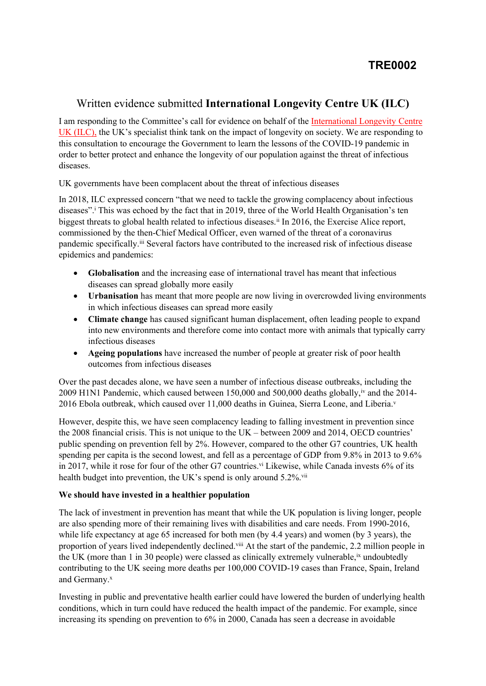# Written evidence submitted **International Longevity Centre UK (ILC)**

I am responding to the Committee's call for evidence on behalf of the [International](https://ilcuk.org.uk/) [Longevity](https://ilcuk.org.uk/) [Centre](https://ilcuk.org.uk/) [UK](https://ilcuk.org.uk/) [\(ILC\),](https://ilcuk.org.uk/) the UK's specialist think tank on the impact of longevity on society. We are responding to this consultation to encourage the Government to learn the lessons of the COVID-19 pandemic in order to better protect and enhance the longevity of our population against the threat of infectious diseases.

UK governments have been complacent about the threat of infectious diseases

In 2018, ILC expressed concern "that we need to tackle the growing complacency about infectious diseases".<sup>i</sup> This was echoed by the fact that in 2019, three of the World Health Organisation's ten biggest threats to global health related to infectious diseases.ii In 2016, the Exercise Alice report, commissioned by the then-Chief Medical Officer, even warned of the threat of a coronavirus pandemic specifically.<sup>iii</sup> Several factors have contributed to the increased risk of infectious disease epidemics and pandemics:

- **Globalisation** and the increasing ease of international travel has meant that infectious diseases can spread globally more easily
- **Urbanisation** has meant that more people are now living in overcrowded living environments in which infectious diseases can spread more easily
- **Climate change** has caused significant human displacement, often leading people to expand into new environments and therefore come into contact more with animals that typically carry infectious diseases
- **Ageing populations** have increased the number of people at greater risk of poor health outcomes from infectious diseases

Over the past decades alone, we have seen a number of infectious disease outbreaks, including the 2009 H1N1 Pandemic, which caused between 150,000 and 500,000 deaths globally, <sup>iv</sup> and the 2014-2016 Ebola outbreak, which caused over 11,000 deaths in Guinea, Sierra Leone, and Liberia.<sup>v</sup>

However, despite this, we have seen complacency leading to falling investment in prevention since the 2008 financial crisis. This is not unique to the UK – between 2009 and 2014, OECD countries' public spending on prevention fell by 2%. However, compared to the other G7 countries, UK health spending per capita is the second lowest, and fell as a percentage of GDP from 9.8% in 2013 to 9.6% in 2017, while it rose for four of the other G7 countries.<sup>vi</sup> Likewise, while Canada invests 6% of its health budget into prevention, the UK's spend is only around  $5.2\%$ .

### **We should have invested in a healthier population**

The lack of investment in prevention has meant that while the UK population is living longer, people are also spending more of their remaining lives with disabilities and care needs. From 1990-2016, while life expectancy at age 65 increased for both men (by 4.4 years) and women (by 3 years), the proportion of years lived independently declined.viii At the start of the pandemic, 2.2 million people in the UK (more than 1 in 30 people) were classed as clinically extremely vulnerable,<sup>ix</sup> undoubtedly contributing to the UK seeing more deaths per 100,000 COVID-19 cases than France, Spain, Ireland and Germany.<sup>x</sup>

Investing in public and preventative health earlier could have lowered the burden of underlying health conditions, which in turn could have reduced the health impact of the pandemic. For example, since increasing its spending on prevention to 6% in 2000, Canada has seen a decrease in avoidable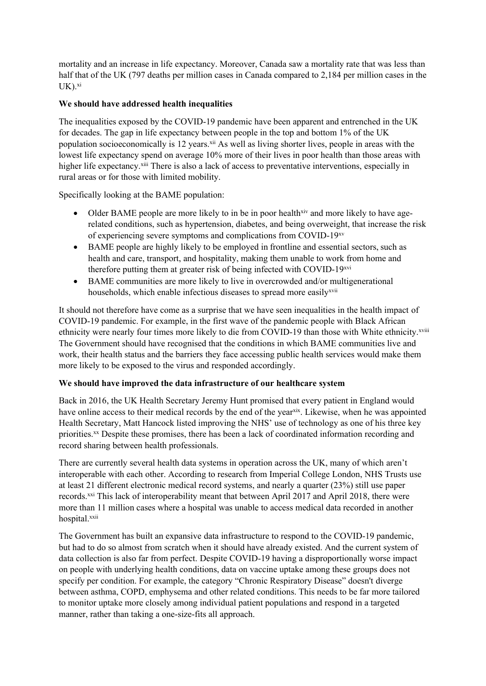mortality and an increase in life expectancy. Moreover, Canada saw a mortality rate that was less than half that of the UK (797 deaths per million cases in Canada compared to 2,184 per million cases in the  $UK$ ). $xi$ 

## **We should have addressed health inequalities**

The inequalities exposed by the COVID-19 pandemic have been apparent and entrenched in the UK for decades. The gap in life expectancy between people in the top and bottom 1% of the UK population socioeconomically is 12 years.<sup>xii</sup> As well as living shorter lives, people in areas with the lowest life expectancy spend on average 10% more of their lives in poor health than those areas with higher life expectancy.<sup>xiii</sup> There is also a lack of access to preventative interventions, especially in rural areas or for those with limited mobility.

Specifically looking at the BAME population:

- Older BAME people are more likely to in be in poor health<sup>xiv</sup> and more likely to have agerelated conditions, such as hypertension, diabetes, and being overweight, that increase the risk of experiencing severe symptoms and complications from COVID-19xv
- BAME people are highly likely to be employed in frontline and essential sectors, such as health and care, transport, and hospitality, making them unable to work from home and therefore putting them at greater risk of being infected with COVID-19xvi
- BAME communities are more likely to live in overcrowded and/or multigenerational households, which enable infectious diseases to spread more easily<sup>xvii</sup>

It should not therefore have come as a surprise that we have seen inequalities in the health impact of COVID-19 pandemic. For example, in the first wave of the pandemic people with Black African ethnicity were nearly four times more likely to die from COVID-19 than those with White ethnicity.xviii The Government should have recognised that the conditions in which BAME communities live and work, their health status and the barriers they face accessing public health services would make them more likely to be exposed to the virus and responded accordingly.

### **We should have improved the data infrastructure of our healthcare system**

Back in 2016, the UK Health Secretary Jeremy Hunt promised that every patient in England would have online access to their medical records by the end of the year<sup>xix</sup>. Likewise, when he was appointed Health Secretary, Matt Hancock listed improving the NHS' use of technology as one of his three key priorities.<sup>xx</sup> Despite these promises, there has been a lack of coordinated information recording and record sharing between health professionals.

There are currently several health data systems in operation across the UK, many of which aren't interoperable with each other. According to research from Imperial College London, NHS Trusts use at least 21 different electronic medical record systems, and nearly a quarter (23%) still use paper records.xxi This lack of interoperability meant that between April 2017 and April 2018, there were more than 11 million cases where a hospital was unable to access medical data recorded in another hospital.xxii

The Government has built an expansive data infrastructure to respond to the COVID-19 pandemic, but had to do so almost from scratch when it should have already existed. And the current system of data collection is also far from perfect. Despite COVID-19 having a disproportionally worse impact on people with underlying health conditions, data on vaccine uptake among these groups does not specify per condition. For example, the category "Chronic Respiratory Disease" doesn't diverge between asthma, COPD, emphysema and other related conditions. This needs to be far more tailored to monitor uptake more closely among individual patient populations and respond in a targeted manner, rather than taking a one-size-fits all approach.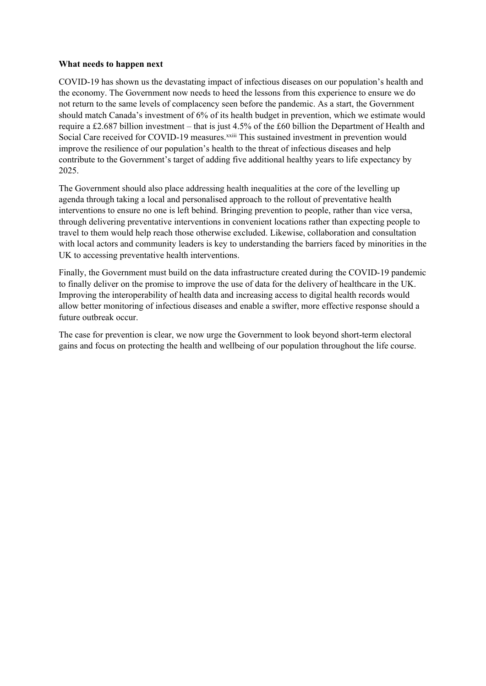#### **What needs to happen next**

COVID-19 has shown us the devastating impact of infectious diseases on our population's health and the economy. The Government now needs to heed the lessons from this experience to ensure we do not return to the same levels of complacency seen before the pandemic. As a start, the Government should match Canada's investment of 6% of its health budget in prevention, which we estimate would require a £2.687 billion investment – that is just 4.5% of the £60 billion the Department of Health and Social Care received for COVID-19 measures.<sup>xxiii</sup> This sustained investment in prevention would improve the resilience of our population's health to the threat of infectious diseases and help contribute to the Government's target of adding five additional healthy years to life expectancy by 2025.

The Government should also place addressing health inequalities at the core of the levelling up agenda through taking a local and personalised approach to the rollout of preventative health interventions to ensure no one is left behind. Bringing prevention to people, rather than vice versa, through delivering preventative interventions in convenient locations rather than expecting people to travel to them would help reach those otherwise excluded. Likewise, collaboration and consultation with local actors and community leaders is key to understanding the barriers faced by minorities in the UK to accessing preventative health interventions.

Finally, the Government must build on the data infrastructure created during the COVID-19 pandemic to finally deliver on the promise to improve the use of data for the delivery of healthcare in the UK. Improving the interoperability of health data and increasing access to digital health records would allow better monitoring of infectious diseases and enable a swifter, more effective response should a future outbreak occur.

The case for prevention is clear, we now urge the Government to look beyond short-term electoral gains and focus on protecting the health and wellbeing of our population throughout the life course.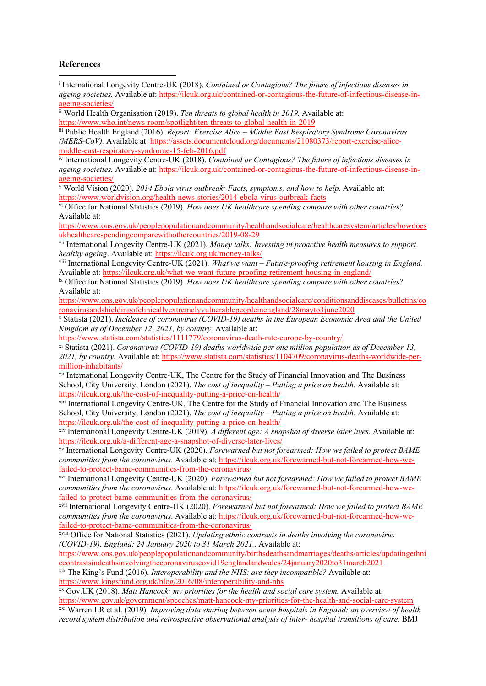### **References**

| <sup>i</sup> International Longevity Centre-UK (2018). Contained or Contagious? The future of infectious diseases in     |
|--------------------------------------------------------------------------------------------------------------------------|
| ageing societies. Available at: https://ilcuk.org.uk/contained-or-contagious-the-future-of-infectious-disease-in-        |
| ageing-societies/                                                                                                        |
| ii World Health Organisation (2019). Ten threats to global health in 2019. Available at:                                 |
| https://www.who.int/news-room/spotlight/ten-threats-to-global-health-in-2019                                             |
| iii Public Health England (2016). Report: Exercise Alice – Middle East Respiratory Syndrome Coronavirus                  |
| (MERS-CoV). Available at: https://assets.documentcloud.org/documents/21080373/report-exercise-alice-                     |
| middle-east-respiratory-syndrome-15-feb-2016.pdf                                                                         |
| iv International Longevity Centre-UK (2018). Contained or Contagious? The future of infectious diseases in               |
| ageing societies. Available at: https://ilcuk.org.uk/contained-or-contagious-the-future-of-infectious-disease-in-        |
| ageing-societies/                                                                                                        |
| v World Vision (2020). 2014 Ebola virus outbreak: Facts, symptoms, and how to help. Available at:                        |
| https://www.worldvision.org/health-news-stories/2014-ebola-virus-outbreak-facts                                          |
| vi Office for National Statistics (2019). How does UK healthcare spending compare with other countries?                  |
|                                                                                                                          |
| Available at:                                                                                                            |
| https://www.ons.gov.uk/peoplepopulationandcommunity/healthandsocialcare/healthcaresystem/articles/howdoes                |
| ukhealthcarespendingcomparewithothercountries/2019-08-29                                                                 |
| vii International Longevity Centre-UK (2021). Money talks: Investing in proactive health measures to support             |
| healthy ageing. Available at: https://ilcuk.org.uk/money-talks/                                                          |
| viii International Longevity Centre-UK (2021). What we want – Future-proofing retirement housing in England.             |
| Available at: https://ilcuk.org.uk/what-we-want-future-proofing-retirement-housing-in-england/                           |
| ix Office for National Statistics (2019). How does UK healthcare spending compare with other countries?                  |
| Available at:                                                                                                            |
| https://www.ons.gov.uk/peoplepopulationandcommunity/healthandsocialcare/conditionsanddiseases/bulletins/co               |
| ronavirusandshieldingofclinicallyextremelyvulnerablepeopleinengland/28mayto3june2020                                     |
| x Statista (2021). Incidence of coronavirus (COVID-19) deaths in the European Economic Area and the United               |
| Kingdom as of December 12, 2021, by country. Available at:                                                               |
| https://www.statista.com/statistics/1111779/coronavirus-death-rate-europe-by-country/                                    |
| <sup>xi</sup> Statista (2021). Coronavirus (COVID-19) deaths worldwide per one million population as of December 13,     |
| 2021, by country. Available at: https://www.statista.com/statistics/1104709/coronavirus-deaths-worldwide-per-            |
| million-inhabitants/                                                                                                     |
| <sup>xii</sup> International Longevity Centre-UK, The Centre for the Study of Financial Innovation and The Business      |
| School, City University, London (2021). The cost of inequality - Putting a price on health. Available at:                |
| https://ilcuk.org.uk/the-cost-of-inequality-putting-a-price-on-health/                                                   |
| xiii International Longevity Centre-UK, The Centre for the Study of Financial Innovation and The Business                |
| School, City University, London (2021). The cost of inequality - Putting a price on health. Available at:                |
|                                                                                                                          |
| https://ilcuk.org.uk/the-cost-of-inequality-putting-a-price-on-health/                                                   |
| xiv International Longevity Centre-UK (2019). A different age: A snapshot of diverse later lives. Available at:          |
| https://ilcuk.org.uk/a-different-age-a-snapshot-of-diverse-later-lives/                                                  |
| xv International Longevity Centre-UK (2020). Forewarned but not forearmed: How we failed to protect BAME                 |
| communities from the coronavirus. Available at: https://ilcuk.org.uk/forewarned-but-not-forearmed-how-we-                |
| failed-to-protect-bame-communities-from-the-coronavirus/                                                                 |
| <sup>xvi</sup> International Longevity Centre-UK (2020). Forewarned but not forearmed: How we failed to protect BAME     |
| communities from the coronavirus. Available at: https://ilcuk.org.uk/forewarned-but-not-forearmed-how-we-                |
| failed-to-protect-bame-communities-from-the-coronavirus/                                                                 |
| <sup>xvii</sup> International Longevity Centre-UK (2020). Forewarned but not forearmed: How we failed to protect BAME    |
| communities from the coronavirus. Available at: https://ilcuk.org.uk/forewarned-but-not-forearmed-how-we-                |
| failed-to-protect-bame-communities-from-the-coronavirus/                                                                 |
| xviii Office for National Statistics (2021). Updating ethnic contrasts in deaths involving the coronavirus               |
| (COVID-19), England: 24 January 2020 to 31 March 2021 Available at:                                                      |
| https://www.ons.gov.uk/peoplepopulationandcommunity/birthsdeathsandmarriages/deaths/articles/updatingethni               |
| ccontrastsindeathsinvolvingthecoronaviruscovid19englandandwales/24january2020to31march2021                               |
| <sup>xix</sup> The King's Fund (2016). <i>Interoperability and the NHS: are they incompatible?</i> Available at:         |
| https://www.kingsfund.org.uk/blog/2016/08/interoperability-and-nhs                                                       |
| <sup>xx</sup> Gov.UK (2018). Matt Hancock: my priorities for the health and social care system. Available at:            |
| https://www.gov.uk/government/speeches/matt-hancock-my-priorities-for-the-health-and-social-care-system                  |
|                                                                                                                          |
| <sup>xxi</sup> Warren LR et al. (2019). Improving data sharing between acute hospitals in England: an overview of health |
| record system distribution and retrospective observational analysis of inter-hospital transitions of care. BMJ           |
|                                                                                                                          |